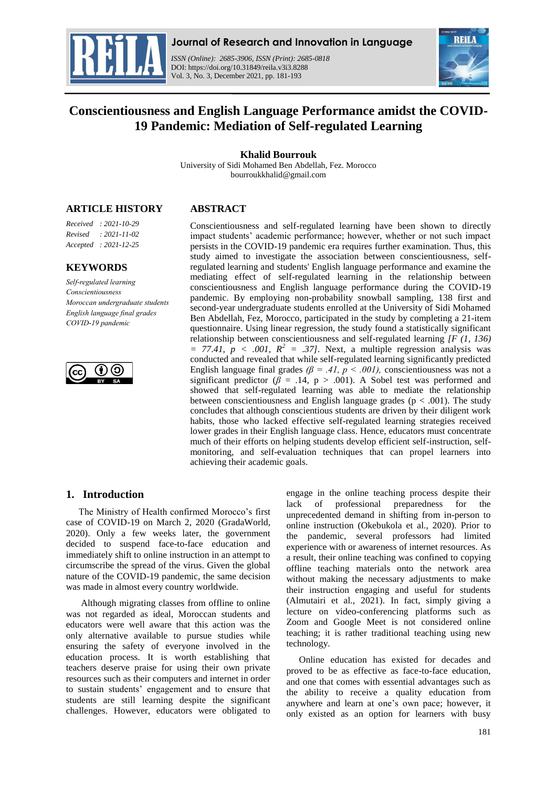

## **Journal of Research and Innovation in Language**

*ISSN (Online): 2685-3906, ISSN (Print): 2685-0818*  DOI: https://doi.org/10.31849/reila.v3i3.8288 Vol. 3, No. 3, December 2021, pp. 181-193



# **Conscientiousness and English Language Performance amidst the COVID-19 Pandemic: Mediation of Self-regulated Learning**

**Khalid Bourrouk**

University of Sidi Mohamed Ben Abdellah, Fez. Morocco bourroukkhalid@gmail.com

#### **ARTICLE HISTORY**

*Received : 2021-10-29 Revised : 2021-11-02 Accepted : 2021-12-25*

#### **KEYWORDS**

*Self-regulated learning Conscientiousness Moroccan undergraduate students English language final grades COVID-19 pandemic*



#### **ABSTRACT**

Conscientiousness and self-regulated learning have been shown to directly impact students' academic performance; however, whether or not such impact persists in the COVID-19 pandemic era requires further examination. Thus, this study aimed to investigate the association between conscientiousness, selfregulated learning and students' English language performance and examine the mediating effect of self-regulated learning in the relationship between conscientiousness and English language performance during the COVID-19 pandemic. By employing non-probability snowball sampling, 138 first and second-year undergraduate students enrolled at the University of Sidi Mohamed Ben Abdellah, Fez, Morocco, participated in the study by completing a 21-item questionnaire. Using linear regression, the study found a statistically significant relationship between conscientiousness and self-regulated learning *[F (1, 136)*   $= 77.41, p < .001, R<sup>2</sup> = .37$ . Next, a multiple regression analysis was conducted and revealed that while self-regulated learning significantly predicted English language final grades  $(\beta = .41, p < .001)$ , conscientiousness was not a significant predictor ( $\beta$  = .14, p > .001). A Sobel test was performed and showed that self-regulated learning was able to mediate the relationship between conscientiousness and English language grades ( $p < .001$ ). The study concludes that although conscientious students are driven by their diligent work habits, those who lacked effective self-regulated learning strategies received lower grades in their English language class. Hence, educators must concentrate much of their efforts on helping students develop efficient self-instruction, selfmonitoring, and self-evaluation techniques that can propel learners into achieving their academic goals.

## **1. Introduction**

The Ministry of Health confirmed Morocco's first case of COVID-19 on March 2, 2020 (GradaWorld, 2020). Only a few weeks later, the government decided to suspend face-to-face education and immediately shift to online instruction in an attempt to circumscribe the spread of the virus. Given the global nature of the COVID-19 pandemic, the same decision was made in almost every country worldwide.

Although migrating classes from offline to online was not regarded as ideal, Moroccan students and educators were well aware that this action was the only alternative available to pursue studies while ensuring the safety of everyone involved in the education process. It is worth establishing that teachers deserve praise for using their own private resources such as their computers and internet in order to sustain students' engagement and to ensure that students are still learning despite the significant challenges. However, educators were obligated to

engage in the online teaching process despite their lack of professional preparedness for the unprecedented demand in shifting from in-person to online instruction (Okebukola et al., 2020). Prior to the pandemic, several professors had limited experience with or awareness of internet resources. As a result, their online teaching was confined to copying offline teaching materials onto the network area without making the necessary adjustments to make their instruction engaging and useful for students (Almutairi et al., 2021). In fact, simply giving a lecture on video-conferencing platforms such as Zoom and Google Meet is not considered online teaching; it is rather traditional teaching using new technology.

Online education has existed for decades and proved to be as effective as face-to-face education, and one that comes with essential advantages such as the ability to receive a quality education from anywhere and learn at one's own pace; however, it only existed as an option for learners with busy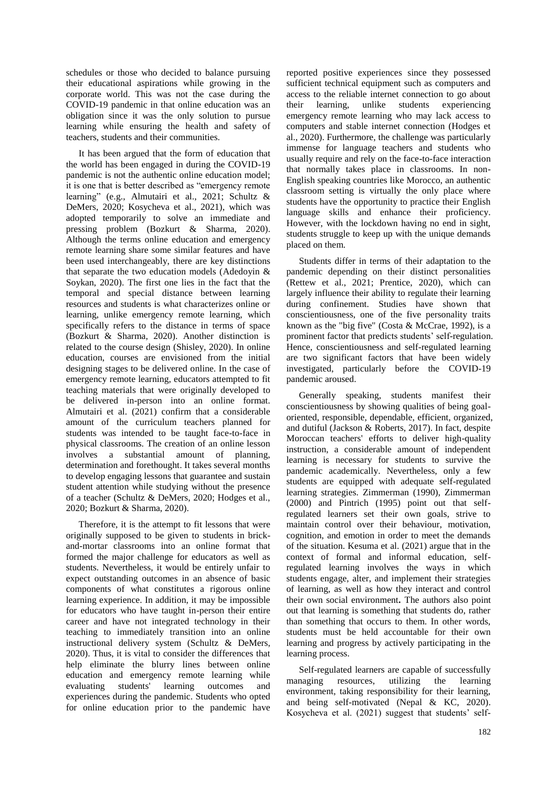schedules or those who decided to balance pursuing their educational aspirations while growing in the corporate world. This was not the case during the COVID-19 pandemic in that online education was an obligation since it was the only solution to pursue learning while ensuring the health and safety of teachers, students and their communities.

It has been argued that the form of education that the world has been engaged in during the COVID-19 pandemic is not the authentic online education model; it is one that is better described as "emergency remote learning" (e.g., Almutairi et al., 2021; Schultz & DeMers, 2020; Kosycheva et al., 2021), which was adopted temporarily to solve an immediate and pressing problem (Bozkurt & Sharma, 2020). Although the terms online education and emergency remote learning share some similar features and have been used interchangeably, there are key distinctions that separate the two education models (Adedoyin & Soykan, 2020). The first one lies in the fact that the temporal and special distance between learning resources and students is what characterizes online or learning, unlike emergency remote learning, which specifically refers to the distance in terms of space (Bozkurt & Sharma, 2020). Another distinction is related to the course design (Shisley, 2020). In online education, courses are envisioned from the initial designing stages to be delivered online. In the case of emergency remote learning, educators attempted to fit teaching materials that were originally developed to be delivered in-person into an online format. Almutairi et al. (2021) confirm that a considerable amount of the curriculum teachers planned for students was intended to be taught face-to-face in physical classrooms. The creation of an online lesson involves a substantial amount of planning, determination and forethought. It takes several months to develop engaging lessons that guarantee and sustain student attention while studying without the presence of a teacher (Schultz & DeMers, 2020; Hodges et al., 2020; Bozkurt & Sharma, 2020).

Therefore, it is the attempt to fit lessons that were originally supposed to be given to students in brickand-mortar classrooms into an online format that formed the major challenge for educators as well as students. Nevertheless, it would be entirely unfair to expect outstanding outcomes in an absence of basic components of what constitutes a rigorous online learning experience. In addition, it may be impossible for educators who have taught in-person their entire career and have not integrated technology in their teaching to immediately transition into an online instructional delivery system (Schultz & DeMers, 2020). Thus, it is vital to consider the differences that help eliminate the blurry lines between online education and emergency remote learning while evaluating students' learning outcomes and experiences during the pandemic. Students who opted for online education prior to the pandemic have

reported positive experiences since they possessed sufficient technical equipment such as computers and access to the reliable internet connection to go about their learning, unlike students experiencing emergency remote learning who may lack access to computers and stable internet connection (Hodges et al., 2020). Furthermore, the challenge was particularly immense for language teachers and students who usually require and rely on the face-to-face interaction that normally takes place in classrooms. In non-English speaking countries like Morocco, an authentic classroom setting is virtually the only place where students have the opportunity to practice their English language skills and enhance their proficiency. However, with the lockdown having no end in sight, students struggle to keep up with the unique demands placed on them.

Students differ in terms of their adaptation to the pandemic depending on their distinct personalities (Rettew et al., 2021; Prentice, 2020), which can largely influence their ability to regulate their learning during confinement. Studies have shown that conscientiousness, one of the five personality traits known as the "big five" (Costa & McCrae, 1992), is a prominent factor that predicts students' self-regulation. Hence, conscientiousness and self-regulated learning are two significant factors that have been widely investigated, particularly before the COVID-19 pandemic aroused.

Generally speaking, students manifest their conscientiousness by showing qualities of being goaloriented, responsible, dependable, efficient, organized, and dutiful (Jackson & Roberts, 2017). In fact, despite Moroccan teachers' efforts to deliver high-quality instruction, a considerable amount of independent learning is necessary for students to survive the pandemic academically. Nevertheless, only a few students are equipped with adequate self-regulated learning strategies. Zimmerman (1990), Zimmerman (2000) and Pintrich (1995) point out that selfregulated learners set their own goals, strive to maintain control over their behaviour, motivation, cognition, and emotion in order to meet the demands of the situation. Kesuma et al. (2021) argue that in the context of formal and informal education, selfregulated learning involves the ways in which students engage, alter, and implement their strategies of learning, as well as how they interact and control their own social environment**.** The authors also point out that learning is something that students do, rather than something that occurs to them. In other words, students must be held accountable for their own learning and progress by actively participating in the learning process.

Self-regulated learners are capable of successfully managing resources, utilizing the learning environment, taking responsibility for their learning, and being self-motivated (Nepal & KC, 2020). Kosycheva et al. (2021) suggest that students' self-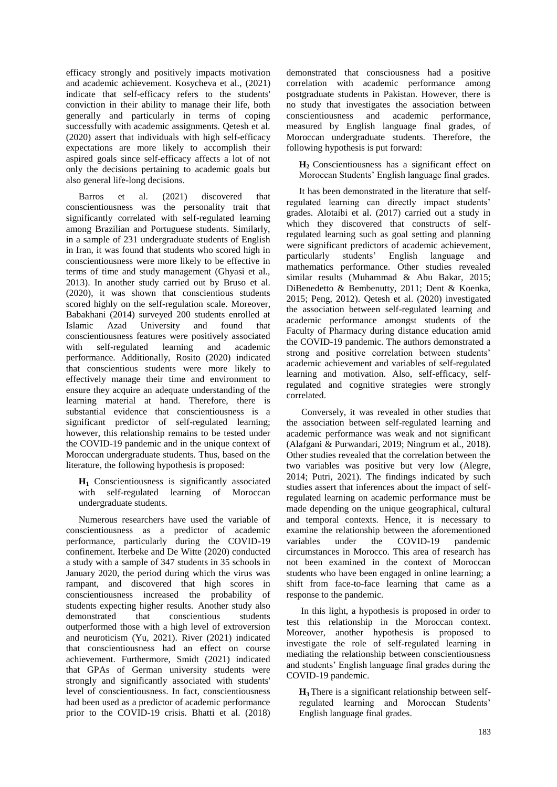efficacy strongly and positively impacts motivation and academic achievement. Kosycheva et al., (2021) indicate that self-efficacy refers to the students' conviction in their ability to manage their life, both generally and particularly in terms of coping successfully with academic assignments. Qetesh et al. (2020) assert that individuals with high self-efficacy expectations are more likely to accomplish their aspired goals since self-efficacy affects a lot of not only the decisions pertaining to academic goals but also general life-long decisions.

Barros et al. (2021) discovered that conscientiousness was the personality trait that significantly correlated with self-regulated learning among Brazilian and Portuguese students. Similarly, in a sample of 231 undergraduate students of English in Iran, it was found that students who scored high in conscientiousness were more likely to be effective in terms of time and study management (Ghyasi et al., 2013). In another study carried out by Bruso et al. (2020), it was shown that conscientious students scored highly on the self-regulation scale. Moreover, Babakhani (2014) surveyed 200 students enrolled at Islamic Azad University and found that conscientiousness features were positively associated with self-regulated learning and academic performance. Additionally, Rosito (2020) indicated that conscientious students were more likely to effectively manage their time and environment to ensure they acquire an adequate understanding of the learning material at hand. Therefore, there is substantial evidence that conscientiousness is a significant predictor of self-regulated learning; however, this relationship remains to be tested under the COVID-19 pandemic and in the unique context of Moroccan undergraduate students. Thus, based on the literature, the following hypothesis is proposed:

**H<sup>1</sup>** Conscientiousness is significantly associated with self-regulated learning of Moroccan undergraduate students.

Numerous researchers have used the variable of conscientiousness as a predictor of academic performance, particularly during the COVID-19 confinement. Iterbeke and De Witte (2020) conducted a study with a sample of 347 students in 35 schools in January 2020, the period during which the virus was rampant, and discovered that high scores in conscientiousness increased the probability of students expecting higher results. Another study also demonstrated that conscientious students outperformed those with a high level of extroversion and neuroticism (Yu, 2021). River (2021) indicated that conscientiousness had an effect on course achievement. Furthermore, Smidt (2021) indicated that GPAs of German university students were strongly and significantly associated with students' level of conscientiousness. In fact, conscientiousness had been used as a predictor of academic performance prior to the COVID-19 crisis. Bhatti et al. (2018)

demonstrated that consciousness had a positive correlation with academic performance among postgraduate students in Pakistan. However, there is no study that investigates the association between conscientiousness and academic performance, measured by English language final grades, of Moroccan undergraduate students. Therefore, the following hypothesis is put forward:

**H2** Conscientiousness has a significant effect on Moroccan Students' English language final grades.

It has been demonstrated in the literature that selfregulated learning can directly impact students' grades. Alotaibi et al. (2017) carried out a study in which they discovered that constructs of selfregulated learning such as goal setting and planning were significant predictors of academic achievement, particularly students' English language and mathematics performance. Other studies revealed similar results (Muhammad & Abu Bakar, 2015; DiBenedetto & Bembenutty, 2011; Dent & Koenka, 2015; Peng, 2012). Qetesh et al. (2020) investigated the association between self-regulated learning and academic performance amongst students of the Faculty of Pharmacy during distance education amid the COVID-19 pandemic. The authors demonstrated a strong and positive correlation between students' academic achievement and variables of self-regulated learning and motivation. Also, self-efficacy, selfregulated and cognitive strategies were strongly correlated.

Conversely, it was revealed in other studies that the association between self-regulated learning and academic performance was weak and not significant (Alafgani & Purwandari, 2019; Ningrum et al., 2018). Other studies revealed that the correlation between the two variables was positive but very low (Alegre, 2014; Putri, 2021). The findings indicated by such studies assert that inferences about the impact of selfregulated learning on academic performance must be made depending on the unique geographical, cultural and temporal contexts. Hence, it is necessary to examine the relationship between the aforementioned variables under the COVID-19 pandemic circumstances in Morocco. This area of research has not been examined in the context of Moroccan students who have been engaged in online learning; a shift from face-to-face learning that came as a response to the pandemic.

In this light, a hypothesis is proposed in order to test this relationship in the Moroccan context. Moreover, another hypothesis is proposed to investigate the role of self-regulated learning in mediating the relationship between conscientiousness and students' English language final grades during the COVID-19 pandemic.

**H3** There is a significant relationship between selfregulated learning and Moroccan Students' English language final grades.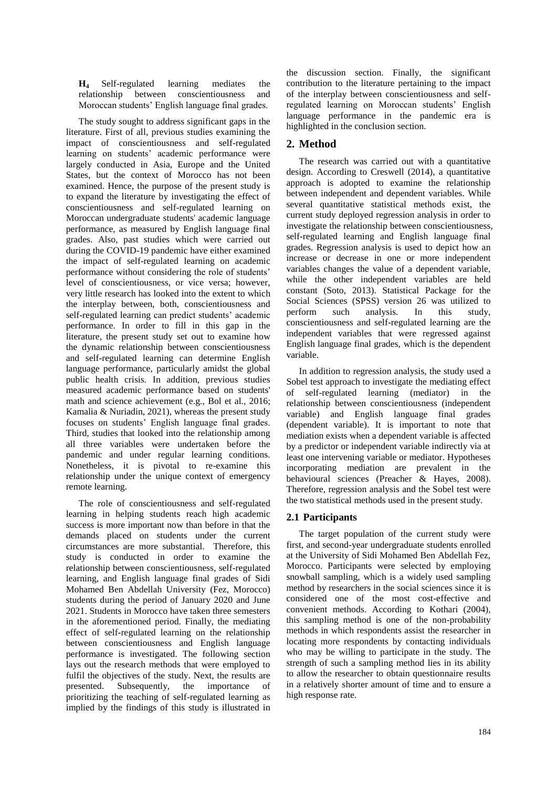**H4** Self-regulated learning mediates the relationship between conscientiousness and Moroccan students' English language final grades.

The study sought to address significant gaps in the literature. First of all, previous studies examining the impact of conscientiousness and self-regulated learning on students' academic performance were largely conducted in Asia, Europe and the United States, but the context of Morocco has not been examined. Hence, the purpose of the present study is to expand the literature by investigating the effect of conscientiousness and self-regulated learning on Moroccan undergraduate students' academic language performance, as measured by English language final grades. Also, past studies which were carried out during the COVID-19 pandemic have either examined the impact of self-regulated learning on academic performance without considering the role of students' level of conscientiousness, or vice versa; however, very little research has looked into the extent to which the interplay between, both, conscientiousness and self-regulated learning can predict students' academic performance. In order to fill in this gap in the literature, the present study set out to examine how the dynamic relationship between conscientiousness and self-regulated learning can determine English language performance, particularly amidst the global public health crisis. In addition, previous studies measured academic performance based on students' math and science achievement (e.g., Bol et al., 2016; Kamalia & Nuriadin, 2021), whereas the present study focuses on students' English language final grades. Third, studies that looked into the relationship among all three variables were undertaken before the pandemic and under regular learning conditions. Nonetheless, it is pivotal to re-examine this relationship under the unique context of emergency remote learning.

The role of conscientiousness and self-regulated learning in helping students reach high academic success is more important now than before in that the demands placed on students under the current circumstances are more substantial. Therefore, this study is conducted in order to examine the relationship between conscientiousness, self-regulated learning, and English language final grades of Sidi Mohamed Ben Abdellah University (Fez, Morocco) students during the period of January 2020 and June 2021. Students in Morocco have taken three semesters in the aforementioned period. Finally, the mediating effect of self-regulated learning on the relationship between conscientiousness and English language performance is investigated. The following section lays out the research methods that were employed to fulfil the objectives of the study. Next, the results are presented. Subsequently, the importance of prioritizing the teaching of self-regulated learning as implied by the findings of this study is illustrated in

the discussion section. Finally, the significant contribution to the literature pertaining to the impact of the interplay between conscientiousness and selfregulated learning on Moroccan students' English language performance in the pandemic era is highlighted in the conclusion section.

# **2. Method**

The research was carried out with a quantitative design. According to Creswell (2014), a quantitative approach is adopted to examine the relationship between independent and dependent variables. While several quantitative statistical methods exist, the current study deployed regression analysis in order to investigate the relationship between conscientiousness, self-regulated learning and English language final grades. Regression analysis is used to depict how an increase or decrease in one or more independent variables changes the value of a dependent variable, while the other independent variables are held constant (Soto, 2013). Statistical Package for the Social Sciences (SPSS) version 26 was utilized to perform such analysis. In this study, conscientiousness and self-regulated learning are the independent variables that were regressed against English language final grades, which is the dependent variable.

In addition to regression analysis, the study used a Sobel test approach to investigate the mediating effect of self-regulated learning (mediator) in the relationship between conscientiousness (independent variable) and English language final grades (dependent variable). It is important to note that mediation exists when a dependent variable is affected by a predictor or independent variable indirectly via at least one intervening variable or mediator. Hypotheses incorporating mediation are prevalent in the behavioural sciences (Preacher & Hayes, 2008). Therefore, regression analysis and the Sobel test were the two statistical methods used in the present study.

## **2.1 Participants**

The target population of the current study were first, and second-year undergraduate students enrolled at the University of Sidi Mohamed Ben Abdellah Fez, Morocco. Participants were selected by employing snowball sampling, which is a widely used sampling method by researchers in the social sciences since it is considered one of the most cost-effective and convenient methods. According to Kothari (2004), this sampling method is one of the non-probability methods in which respondents assist the researcher in locating more respondents by contacting individuals who may be willing to participate in the study. The strength of such a sampling method lies in its ability to allow the researcher to obtain questionnaire results in a relatively shorter amount of time and to ensure a high response rate.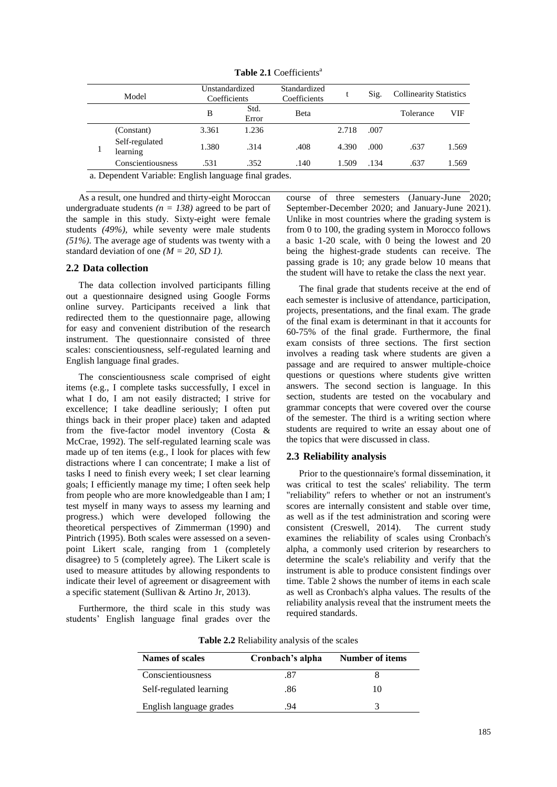|  | Model                                               | Unstandardized<br>Coefficients |               | Standardized<br>Coefficients |       | Sig. | <b>Collinearity Statistics</b> |       |
|--|-----------------------------------------------------|--------------------------------|---------------|------------------------------|-------|------|--------------------------------|-------|
|  |                                                     | В                              | Std.<br>Error | <b>B</b> eta                 |       |      | Tolerance                      | VIF   |
|  | (Constant)                                          | 3.361                          | 1.236         |                              | 2.718 | .007 |                                |       |
|  | Self-regulated<br>learning                          | 1.380                          | .314          | .408                         | 4.390 | .000 | .637                           | 1.569 |
|  | Conscientiousness                                   | .531                           | .352          | .140                         | 1.509 | .134 | .637                           | 1.569 |
|  | a Danandant Vanjahla: English Janguaga final quadaq |                                |               |                              |       |      |                                |       |

**Table 2.1 Coefficients<sup>a</sup>** 

a. Dependent Variable: English language final grades.

As a result, one hundred and thirty-eight Moroccan undergraduate students  $(n = 138)$  agreed to be part of the sample in this study. Sixty-eight were female students (49%), while seventy were male students *(51%).* The average age of students was twenty with a standard deviation of one *(M = 20, SD 1).* 

#### **2.2 Data collection**

The data collection involved participants filling out a questionnaire designed using Google Forms online survey. Participants received a link that redirected them to the questionnaire page, allowing for easy and convenient distribution of the research instrument. The questionnaire consisted of three scales: conscientiousness, self-regulated learning and English language final grades.

The conscientiousness scale comprised of eight items (e.g., I complete tasks successfully, I excel in what I do, I am not easily distracted; I strive for excellence; I take deadline seriously; I often put things back in their proper place) taken and adapted from the five-factor model inventory (Costa & McCrae, 1992). The self-regulated learning scale was made up of ten items (e.g., I look for places with few distractions where I can concentrate; I make a list of tasks I need to finish every week; I set clear learning goals; I efficiently manage my time; I often seek help from people who are more knowledgeable than I am; I test myself in many ways to assess my learning and progress.) which were developed following the theoretical perspectives of Zimmerman (1990) and Pintrich (1995). Both scales were assessed on a sevenpoint Likert scale, ranging from 1 (completely disagree) to 5 (completely agree). The Likert scale is used to measure attitudes by allowing respondents to indicate their level of agreement or disagreement with a specific statement (Sullivan & Artino Jr, 2013).

Furthermore, the third scale in this study was students' English language final grades over the

course of three semesters (January-June 2020; September-December 2020; and January-June 2021). Unlike in most countries where the grading system is from 0 to 100, the grading system in Morocco follows a basic 1-20 scale, with 0 being the lowest and 20 being the highest-grade students can receive. The passing grade is 10; any grade below 10 means that the student will have to retake the class the next year.

The final grade that students receive at the end of each semester is inclusive of attendance, participation, projects, presentations, and the final exam. The grade of the final exam is determinant in that it accounts for 60-75% of the final grade. Furthermore, the final exam consists of three sections. The first section involves a reading task where students are given a passage and are required to answer multiple-choice questions or questions where students give written answers. The second section is language. In this section, students are tested on the vocabulary and grammar concepts that were covered over the course of the semester. The third is a writing section where students are required to write an essay about one of the topics that were discussed in class.

#### **2.3 Reliability analysis**

Prior to the questionnaire's formal dissemination, it was critical to test the scales' reliability. The term "reliability" refers to whether or not an instrument's scores are internally consistent and stable over time, as well as if the test administration and scoring were consistent (Creswell, 2014). The current study examines the reliability of scales using Cronbach's alpha, a commonly used criterion by researchers to determine the scale's reliability and verify that the instrument is able to produce consistent findings over time. Table 2 shows the number of items in each scale as well as Cronbach's alpha values. The results of the reliability analysis reveal that the instrument meets the required standards.

**Names of scales Cronbach's alpha Number of items** Conscientiousness .87 8 Self-regulated learning 286 10

English language grades .94 3

**Table 2.2** Reliability analysis of the scales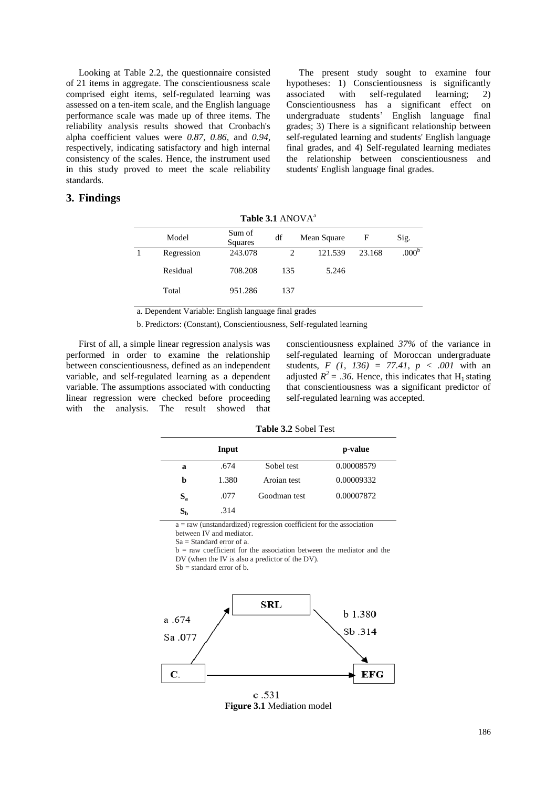Looking at Table 2.2, the questionnaire consisted of 21 items in aggregate. The conscientiousness scale comprised eight items, self-regulated learning was assessed on a ten-item scale, and the English language performance scale was made up of three items. The reliability analysis results showed that Cronbach's alpha coefficient values were *0.87, 0.86,* and *0.94*, respectively, indicating satisfactory and high internal consistency of the scales. Hence, the instrument used in this study proved to meet the scale reliability standards.

The present study sought to examine four hypotheses: 1) Conscientiousness is significantly associated with self-regulated learning; 2) Conscientiousness has a significant effect on undergraduate students' English language final grades; 3) There is a significant relationship between self-regulated learning and students' English language final grades, and 4) Self-regulated learning mediates the relationship between conscientiousness and students' English language final grades.

#### **3. Findings**

| 140R S.I THTO VII |            |                   |                             |             |        |                   |
|-------------------|------------|-------------------|-----------------------------|-------------|--------|-------------------|
|                   | Model      | Sum of<br>Squares | df                          | Mean Square | F      | Sig.              |
|                   | Regression | 243.078           | $\mathcal{D}_{\mathcal{A}}$ | 121.539     | 23.168 | .000 <sup>b</sup> |
|                   | Residual   | 708.208           | 135                         | 5.246       |        |                   |
|                   | Total      | 951.286           | 137                         |             |        |                   |

**Table 3.1** ANOVA<sup>a</sup>

a. Dependent Variable: English language final grades

b. Predictors: (Constant), Conscientiousness, Self-regulated learning

First of all, a simple linear regression analysis was performed in order to examine the relationship between conscientiousness, defined as an independent variable, and self-regulated learning as a dependent variable. The assumptions associated with conducting linear regression were checked before proceeding with the analysis. The result showed that

conscientiousness explained *37%* of the variance in self-regulated learning of Moroccan undergraduate students, *F (1, 136) = 77.41, p < .001* with an adjusted  $R^2 = .36$ . Hence, this indicates that H<sub>1</sub> stating that conscientiousness was a significant predictor of self-regulated learning was accepted.

|             | <b>Fable 3.4 SODEL LEST</b> |              |            |  |  |  |
|-------------|-----------------------------|--------------|------------|--|--|--|
|             | Input                       |              | p-value    |  |  |  |
| a           | .674                        | Sobel test   | 0.00008579 |  |  |  |
| b           | 1.380                       | Aroian test  | 0.00009332 |  |  |  |
| $S_{a}$     | .077                        | Goodman test | 0.00007872 |  |  |  |
| $S_{\rm b}$ | .314                        |              |            |  |  |  |

**Table 3.2** Sobel Test

 $a = raw$  (unstandardized) regression coefficient for the association between IV and mediator.

Sa = Standard error of a.

 $b = raw coefficient for the association between the mediator and the$ 

DV (when the IV is also a predictor of the DV).

 $Sb =$  standard error of b.



**Figure 3.1** Mediation model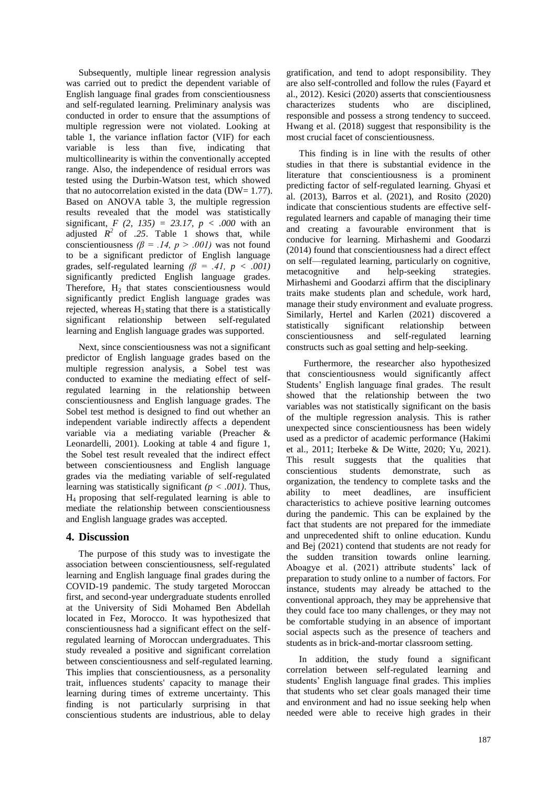Subsequently, multiple linear regression analysis was carried out to predict the dependent variable of English language final grades from conscientiousness and self-regulated learning. Preliminary analysis was conducted in order to ensure that the assumptions of multiple regression were not violated. Looking at table 1, the variance inflation factor (VIF) for each variable is less than five, indicating that multicollinearity is within the conventionally accepted range. Also, the independence of residual errors was tested using the Durbin-Watson test, which showed that no autocorrelation existed in the data ( $DW = 1.77$ ). Based on ANOVA table 3, the multiple regression results revealed that the model was statistically significant,  $F(2, 135) = 23.17$ ,  $p < .000$  with an adjusted  $R^2$  of .25. Table 1 shows that, while conscientiousness  $(\beta = .14, p > .001)$  was not found to be a significant predictor of English language grades, self-regulated learning  $(\beta = .41, p < .001)$ significantly predicted English language grades. Therefore,  $H_2$  that states conscientiousness would significantly predict English language grades was rejected, whereas  $H_3$  stating that there is a statistically significant relationship between self-regulated learning and English language grades was supported.

Next, since conscientiousness was not a significant predictor of English language grades based on the multiple regression analysis, a Sobel test was conducted to examine the mediating effect of selfregulated learning in the relationship between conscientiousness and English language grades. The Sobel test method is designed to find out whether an independent variable indirectly affects a dependent variable via a mediating variable (Preacher & Leonardelli, 2001). Looking at table 4 and figure 1, the Sobel test result revealed that the indirect effect between conscientiousness and English language grades via the mediating variable of self-regulated learning was statistically significant *(p < .001)*. Thus, H4 proposing that self-regulated learning is able to mediate the relationship between conscientiousness and English language grades was accepted.

## **4. Discussion**

The purpose of this study was to investigate the association between conscientiousness, self-regulated learning and English language final grades during the COVID-19 pandemic. The study targeted Moroccan first, and second-year undergraduate students enrolled at the University of Sidi Mohamed Ben Abdellah located in Fez, Morocco. It was hypothesized that conscientiousness had a significant effect on the selfregulated learning of Moroccan undergraduates. This study revealed a positive and significant correlation between conscientiousness and self-regulated learning. This implies that conscientiousness, as a personality trait, influences students' capacity to manage their learning during times of extreme uncertainty. This finding is not particularly surprising in that conscientious students are industrious, able to delay

gratification, and tend to adopt responsibility. They are also self-controlled and follow the rules (Fayard et al., 2012). Kesici (2020) asserts that conscientiousness characterizes students who are disciplined, responsible and possess a strong tendency to succeed. Hwang et al. (2018) suggest that responsibility is the most crucial facet of conscientiousness.

This finding is in line with the results of other studies in that there is substantial evidence in the literature that conscientiousness is a prominent predicting factor of self-regulated learning. Ghyasi et al. (2013), Barros et al. (2021), and Rosito (2020) indicate that conscientious students are effective selfregulated learners and capable of managing their time and creating a favourable environment that is conducive for learning. Mirhashemi and Goodarzi (2014) found that conscientiousness had a direct effect on self—regulated learning, particularly on cognitive, metacognitive and help-seeking strategies. Mirhashemi and Goodarzi affirm that the disciplinary traits make students plan and schedule, work hard, manage their study environment and evaluate progress. Similarly, Hertel and Karlen (2021) discovered a statistically significant relationship between conscientiousness and self-regulated learning constructs such as goal setting and help-seeking.

 Furthermore, the researcher also hypothesized that conscientiousness would significantly affect Students' English language final grades. The result showed that the relationship between the two variables was not statistically significant on the basis of the multiple regression analysis. This is rather unexpected since conscientiousness has been widely used as a predictor of academic performance (Hakimi et al., 2011; Iterbeke & De Witte, 2020; Yu, 2021). This result suggests that the qualities that conscientious students demonstrate, such as organization, the tendency to complete tasks and the ability to meet deadlines, are insufficient characteristics to achieve positive learning outcomes during the pandemic. This can be explained by the fact that students are not prepared for the immediate and unprecedented shift to online education. Kundu and Bej (2021) contend that students are not ready for the sudden transition towards online learning. Aboagye et al. (2021) attribute students' lack of preparation to study online to a number of factors. For instance, students may already be attached to the conventional approach, they may be apprehensive that they could face too many challenges, or they may not be comfortable studying in an absence of important social aspects such as the presence of teachers and students as in brick-and-mortar classroom setting.

In addition, the study found a significant correlation between self-regulated learning and students' English language final grades. This implies that students who set clear goals managed their time and environment and had no issue seeking help when needed were able to receive high grades in their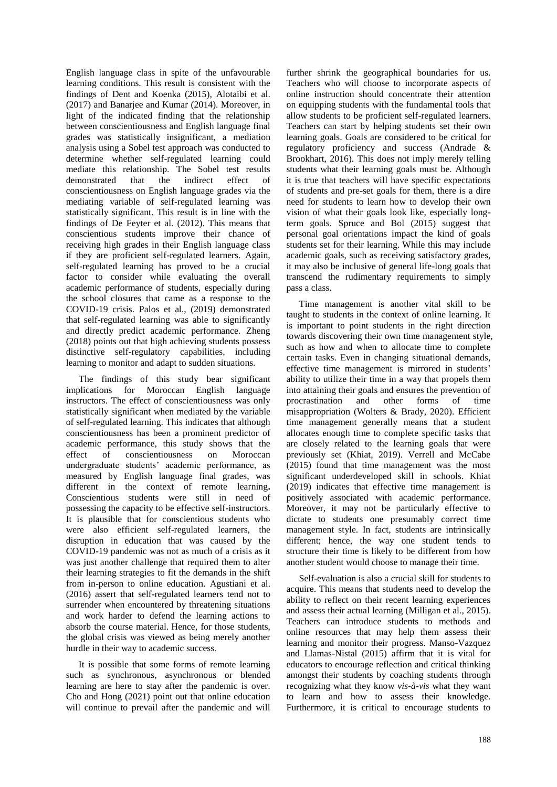English language class in spite of the unfavourable learning conditions. This result is consistent with the findings of Dent and Koenka (2015), Alotaibi et al. (2017) and Banarjee and Kumar (2014). Moreover, in light of the indicated finding that the relationship between conscientiousness and English language final grades was statistically insignificant, a mediation analysis using a Sobel test approach was conducted to determine whether self-regulated learning could mediate this relationship. The Sobel test results demonstrated that the indirect effect of conscientiousness on English language grades via the mediating variable of self-regulated learning was statistically significant. This result is in line with the findings of De Feyter et al. (2012). This means that conscientious students improve their chance of receiving high grades in their English language class if they are proficient self-regulated learners. Again, self-regulated learning has proved to be a crucial factor to consider while evaluating the overall academic performance of students, especially during the school closures that came as a response to the COVID-19 crisis. Palos et al., (2019) demonstrated that self-regulated learning was able to significantly and directly predict academic performance. Zheng (2018) points out that high achieving students possess distinctive self-regulatory capabilities, including learning to monitor and adapt to sudden situations.

The findings of this study bear significant implications for Moroccan English language instructors. The effect of conscientiousness was only statistically significant when mediated by the variable of self-regulated learning. This indicates that although conscientiousness has been a prominent predictor of academic performance, this study shows that the effect of conscientiousness on Moroccan undergraduate students' academic performance, as measured by English language final grades, was different in the context of remote learning. Conscientious students were still in need of possessing the capacity to be effective self-instructors. It is plausible that for conscientious students who were also efficient self-regulated learners, the disruption in education that was caused by the COVID-19 pandemic was not as much of a crisis as it was just another challenge that required them to alter their learning strategies to fit the demands in the shift from in-person to online education. Agustiani et al. (2016) assert that self-regulated learners tend not to surrender when encountered by threatening situations and work harder to defend the learning actions to absorb the course material. Hence, for those students, the global crisis was viewed as being merely another hurdle in their way to academic success.

It is possible that some forms of remote learning such as synchronous, asynchronous or blended learning are here to stay after the pandemic is over. Cho and Hong (2021) point out that online education will continue to prevail after the pandemic and will

further shrink the geographical boundaries for us. Teachers who will choose to incorporate aspects of online instruction should concentrate their attention on equipping students with the fundamental tools that allow students to be proficient self-regulated learners. Teachers can start by helping students set their own learning goals. Goals are considered to be critical for regulatory proficiency and success (Andrade & Brookhart, 2016). This does not imply merely telling students what their learning goals must be. Although it is true that teachers will have specific expectations of students and pre-set goals for them, there is a dire need for students to learn how to develop their own vision of what their goals look like, especially longterm goals. Spruce and Bol (2015) suggest that personal goal orientations impact the kind of goals students set for their learning. While this may include academic goals, such as receiving satisfactory grades, it may also be inclusive of general life-long goals that transcend the rudimentary requirements to simply pass a class.

Time management is another vital skill to be taught to students in the context of online learning. It is important to point students in the right direction towards discovering their own time management style, such as how and when to allocate time to complete certain tasks. Even in changing situational demands, effective time management is mirrored in students' ability to utilize their time in a way that propels them into attaining their goals and ensures the prevention of procrastination and other forms of time misappropriation (Wolters & Brady, 2020). Efficient time management generally means that a student allocates enough time to complete specific tasks that are closely related to the learning goals that were previously set (Khiat, 2019). Verrell and McCabe (2015) found that time management was the most significant underdeveloped skill in schools. Khiat (2019) indicates that effective time management is positively associated with academic performance. Moreover, it may not be particularly effective to dictate to students one presumably correct time management style. In fact, students are intrinsically different; hence, the way one student tends to structure their time is likely to be different from how another student would choose to manage their time.

Self-evaluation is also a crucial skill for students to acquire. This means that students need to develop the ability to reflect on their recent learning experiences and assess their actual learning (Milligan et al., 2015). Teachers can introduce students to methods and online resources that may help them assess their learning and monitor their progress. Manso-Vazquez and Llamas-Nistal (2015) affirm that it is vital for educators to encourage reflection and critical thinking amongst their students by coaching students through recognizing what they know *vis-à-vis* what they want to learn and how to assess their knowledge. Furthermore, it is critical to encourage students to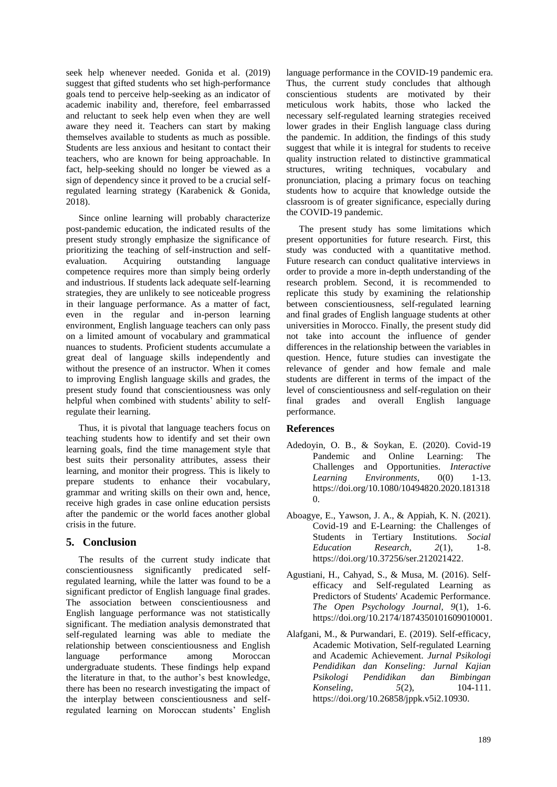seek help whenever needed. Gonida et al. (2019) suggest that gifted students who set high-performance goals tend to perceive help-seeking as an indicator of academic inability and, therefore, feel embarrassed and reluctant to seek help even when they are well aware they need it. Teachers can start by making themselves available to students as much as possible. Students are less anxious and hesitant to contact their teachers, who are known for being approachable. In fact, help-seeking should no longer be viewed as a sign of dependency since it proved to be a crucial selfregulated learning strategy (Karabenick & Gonida, 2018).

Since online learning will probably characterize post-pandemic education, the indicated results of the present study strongly emphasize the significance of prioritizing the teaching of self-instruction and selfevaluation. Acquiring outstanding language competence requires more than simply being orderly and industrious. If students lack adequate self-learning strategies, they are unlikely to see noticeable progress in their language performance. As a matter of fact, even in the regular and in-person learning environment, English language teachers can only pass on a limited amount of vocabulary and grammatical nuances to students. Proficient students accumulate a great deal of language skills independently and without the presence of an instructor. When it comes to improving English language skills and grades, the present study found that conscientiousness was only helpful when combined with students' ability to selfregulate their learning.

Thus, it is pivotal that language teachers focus on teaching students how to identify and set their own learning goals, find the time management style that best suits their personality attributes, assess their learning, and monitor their progress. This is likely to prepare students to enhance their vocabulary, grammar and writing skills on their own and, hence, receive high grades in case online education persists after the pandemic or the world faces another global crisis in the future.

# **5. Conclusion**

The results of the current study indicate that conscientiousness significantly predicated selfregulated learning, while the latter was found to be a significant predictor of English language final grades. The association between conscientiousness and English language performance was not statistically significant. The mediation analysis demonstrated that self-regulated learning was able to mediate the relationship between conscientiousness and English language performance among Moroccan undergraduate students. These findings help expand the literature in that, to the author's best knowledge, there has been no research investigating the impact of the interplay between conscientiousness and selfregulated learning on Moroccan students' English

language performance in the COVID-19 pandemic era. Thus, the current study concludes that although conscientious students are motivated by their meticulous work habits, those who lacked the necessary self-regulated learning strategies received lower grades in their English language class during the pandemic. In addition, the findings of this study suggest that while it is integral for students to receive quality instruction related to distinctive grammatical structures, writing techniques, vocabulary and pronunciation, placing a primary focus on teaching students how to acquire that knowledge outside the classroom is of greater significance, especially during the COVID-19 pandemic.

The present study has some limitations which present opportunities for future research. First, this study was conducted with a quantitative method. Future research can conduct qualitative interviews in order to provide a more in-depth understanding of the research problem. Second, it is recommended to replicate this study by examining the relationship between conscientiousness, self-regulated learning and final grades of English language students at other universities in Morocco. Finally, the present study did not take into account the influence of gender differences in the relationship between the variables in question. Hence, future studies can investigate the relevance of gender and how female and male students are different in terms of the impact of the level of conscientiousness and self-regulation on their final grades and overall English language performance.

## **References**

- Adedoyin, O. B., & Soykan, E. (2020). Covid-19 Pandemic and Online Learning: The Challenges and Opportunities. *Interactive Learning Environments*, 0(0) 1-13. [https://doi.org/10.1080/10494820.2020.181318](https://doi.org/10.1080/10494820.2020.1813180)  $\Omega$
- Aboagye, E., Yawson, J. A., & Appiah, K. N. (2021). Covid-19 and E-Learning: the Challenges of Students in Tertiary Institutions. *Social Education Research, 2*(1), 1-8. [https://doi.org/10.37256/ser.212021422.](https://doi.org/10.37256/ser.212021422)
- Agustiani, H., Cahyad, S., & Musa, M. (2016). Selfefficacy and Self-regulated Learning as Predictors of Students' Academic Performance. *The Open Psychology Journal, 9*(1), 1-6. [https://doi.org/10.2174/1874350101609010001.](https://doi.org/10.2174/1874350101609010001)
- Alafgani, M., & Purwandari, E. (2019). Self-efficacy, Academic Motivation, Self-regulated Learning and Academic Achievement. *Jurnal Psikologi Pendidikan dan Konseling: Jurnal Kajian Psikologi Pendidikan dan Bimbingan Konseling.* 5(2), 104-111. [https://doi.org/10.26858/jppk.v5i2.10930.](https://doi.org/10.26858/jppk.v5i2.10930)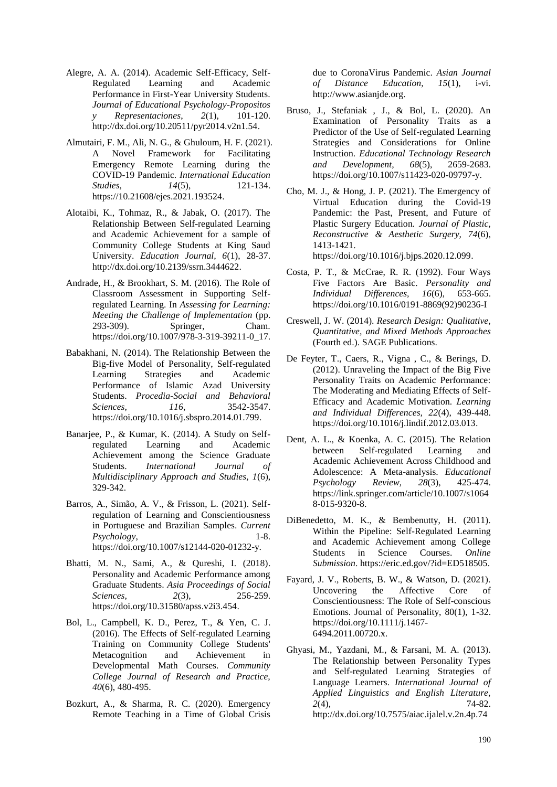- Alegre, A. A. (2014). Academic Self-Efficacy, Self-Regulated Learning and Academic Performance in First-Year University Students. *Journal of Educational Psychology-Propositos y Representaciones*, *2*(1), 101-120. [http://dx.doi.org/10.20511/pyr2014.v2n1.54.](http://dx.doi.org/10.20511/pyr2014.v2n1.54)
- Almutairi, F. M., Ali, N. G., & Ghuloum, H. F. (2021). A Novel Framework for Facilitating Emergency Remote Learning during the COVID-19 Pandemic. *International Education Studies. 14*(5), 121-134. https://10.21608/ejes.2021.193524.
- Alotaibi, K., Tohmaz, R., & Jabak, O. (2017). The Relationship Between Self-regulated Learning and Academic Achievement for a sample of Community College Students at King Saud University. *Education Journal, 6*(1), 28-37. [http://dx.doi.org/10.2139/ssrn.3444622.](http://dx.doi.org/10.2139/ssrn.3444622)
- Andrade, H., & Brookhart, S. M. (2016). The Role of Classroom Assessment in Supporting Selfregulated Learning. In *Assessing for Learning: Meeting the Challenge of Implementation* (pp. 293-309). Springer, Cham. [https://doi.org/10.1007/978-3-319-39211-0\\_17.](https://doi.org/10.1007/978-3-319-39211-0_17)
- Babakhani, N. (2014). The Relationship Between the Big-five Model of Personality, Self-regulated Learning Strategies and Academic Performance of Islamic Azad University Students. *Procedia-Social and Behavioral Sciences, 116*, 3542-3547. [https://doi.org/10.1016/j.sbspro.2014.01.799.](https://doi.org/10.1016/j.sbspro.2014.01.799)
- Banarjee, P., & Kumar, K. (2014). A Study on Selfregulated Learning and Academic Achievement among the Science Graduate Students. *International Journal of Multidisciplinary Approach and Studies, 1*(6), 329-342.
- Barros, A., Simão, A. V., & Frisson, L. (2021). Selfregulation of Learning and Conscientiousness in Portuguese and Brazilian Samples. *Current Psychology*, 1-8. [https://doi.org/10.1007/s12144-020-01232-y.](https://doi.org/10.1007/s12144-020-01232-y)
- Bhatti, M. N., Sami, A., & Qureshi, I. (2018). Personality and Academic Performance among Graduate Students. *Asia Proceedings of Social Sciences, 2*(3), 256-259. [https://doi.org/10.31580/apss.v2i3.454.](https://doi.org/10.31580/apss.v2i3.454)
- Bol, L., Campbell, K. D., Perez, T., & Yen, C. J. (2016). The Effects of Self-regulated Learning Training on Community College Students' Metacognition and Achievement in Developmental Math Courses. *Community College Journal of Research and Practice, 40*(6), 480-495.
- Bozkurt, A., & Sharma, R. C. (2020). Emergency Remote Teaching in a Time of Global Crisis

due to CoronaVirus Pandemic. *Asian Journal of Distance Education, 15*(1), i-vi. http://www.asianjde.org.

- Bruso, J., Stefaniak , J., & Bol, L. (2020). An Examination of Personality Traits as a Predictor of the Use of Self-regulated Learning Strategies and Considerations for Online Instruction. *Educational Technology Research and Development, 68*(5), 2659-2683. [https://doi.org/10.1007/s11423-020-09797-y.](https://doi.org/10.1007/s11423-020-09797-y)
- Cho, M. J., & Hong, J. P. (2021). The Emergency of Virtual Education during the Covid-19 Pandemic: the Past, Present, and Future of Plastic Surgery Education. *Journal of Plastic, Reconstructive & Aesthetic Surgery, 74*(6), 1413-1421. [https://doi.org/10.1016/j.bjps.2020.12.099.](https://doi.org/10.1016/j.bjps.2020.12.099)
- Costa, P. T., & McCrae, R. R. (1992). Four Ways Five Factors Are Basic. *Personality and Individual Differences, 16*(6), 653-665. [https://doi.org/10.1016/0191-8869\(92\)90236-I](https://doi.org/10.1016/0191-8869(92)90236-I)
- Creswell, J. W. (2014). *Research Design: Qualitative, Quantitative, and Mixed Methods Approaches* (Fourth ed.). SAGE Publications.
- De Feyter, T., Caers, R., Vigna , C., & Berings, D. (2012). Unraveling the Impact of the Big Five Personality Traits on Academic Performance: The Moderating and Mediating Effects of Self-Efficacy and Academic Motivation. *Learning and Individual Differences, 22*(4), 439-448. [https://doi.org/10.1016/j.lindif.2012.03.013.](https://doi.org/10.1016/j.lindif.2012.03.013)
- Dent, A. L., & Koenka, A. C. (2015). The Relation between Self-regulated Learning and Academic Achievement Across Childhood and Adolescence: A Meta-analysis. *Educational Psychology Review, 28*(3), 425-474. [https://link.springer.com/article/10.1007/s1064](https://link.springer.com/article/10.1007/s10648-015-9320-8) [8-015-9320-8.](https://link.springer.com/article/10.1007/s10648-015-9320-8)
- DiBenedetto, M. K., & Bembenutty, H. (2011). Within the Pipeline: Self-Regulated Learning and Academic Achievement among College Students in Science Courses. *Online Submission*. [https://eric.ed.gov/?id=ED518505.](https://eric.ed.gov/?id=ED518505)
- Fayard, J. V., Roberts, B. W., & Watson, D. (2021). Uncovering the Affective Core of Conscientiousness: The Role of Self-conscious Emotions. Journal of Personality, 80(1), 1-32. [https://doi.org/10.1111/j.1467-](https://doi.org/10.1111/j.1467-6494.2011.00720.x) [6494.2011.00720.x.](https://doi.org/10.1111/j.1467-6494.2011.00720.x)
- Ghyasi, M., Yazdani, M., & Farsani, M. A. (2013). The Relationship between Personality Types and Self-regulated Learning Strategies of Language Learners. *International Journal of Applied Linguistics and English Literature, 2*(4), 74-82. <http://dx.doi.org/10.7575/aiac.ijalel.v.2n.4p.74>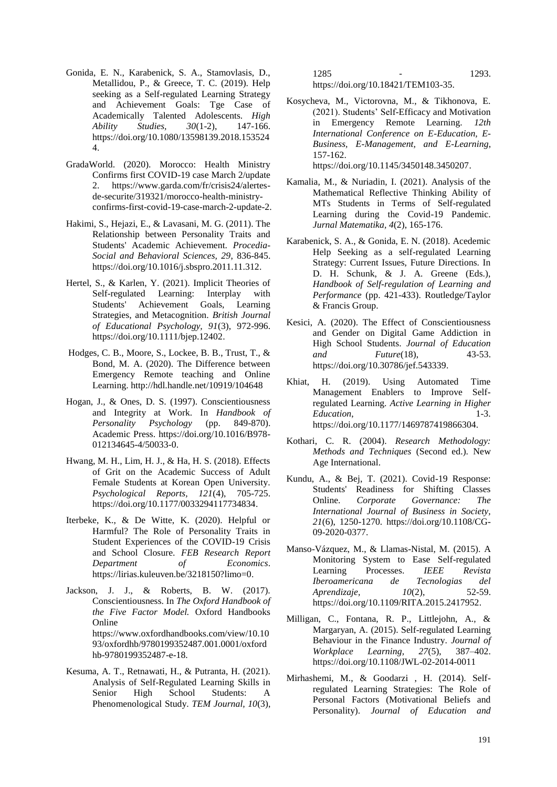- Gonida, E. N., Karabenick, S. A., Stamovlasis, D., Metallidou, P., & Greece, T. C. (2019). Help seeking as a Self-regulated Learning Strategy and Achievement Goals: Tge Case of Academically Talented Adolescents. *High Ability Studies, 30*(1-2), 147-166. [https://doi.org/10.1080/13598139.2018.153524](https://doi.org/10.1080/13598139.2018.1535244) [4.](https://doi.org/10.1080/13598139.2018.1535244)
- GradaWorld. (2020). Morocco: Health Ministry Confirms first COVID-19 case March 2/update 2. [https://www.garda.com/fr/crisis24/alertes](https://www.garda.com/fr/crisis24/alertes-de-securite/319321/morocco-health-ministry-confirms-first-covid-19-case-march-2-update-)[de-securite/319321/morocco-health-ministry](https://www.garda.com/fr/crisis24/alertes-de-securite/319321/morocco-health-ministry-confirms-first-covid-19-case-march-2-update-)[confirms-first-covid-19-case-march-2-update-2](https://www.garda.com/fr/crisis24/alertes-de-securite/319321/morocco-health-ministry-confirms-first-covid-19-case-march-2-update-).
- Hakimi, S., Hejazi, E., & Lavasani, M. G. (2011). The Relationship between Personality Traits and Students' Academic Achievement. *Procedia-Social and Behavioral Sciences, 29*, 836-845. [https://doi.org/10.1016/j.sbspro.2011.11.312.](https://doi.org/10.1016/j.sbspro.2011.11.312)
- Hertel, S., & Karlen, Y. (2021). Implicit Theories of Self-regulated Learning: Interplay with Students' Achievement Goals, Learning Strategies, and Metacognition. *British Journal of Educational Psychology, 91*(3), 972-996. [https://doi.org/10.1111/bjep.12402.](https://doi.org/10.1111/bjep.12402)
- Hodges, C. B., Moore, S., Lockee, B. B., Trust, T., & Bond, M. A. (2020). The Difference between Emergency Remote teaching and Online Learning.<http://hdl.handle.net/10919/104648>
- Hogan, J., & Ones, D. S. (1997). Conscientiousness and Integrity at Work. In *Handbook of Personality Psychology* (pp. 849-870). Academic Press. [https://doi.org/10.1016/B978-](https://doi.org/10.1016/B978-012134645-4/50033-0) [012134645-4/50033-0.](https://doi.org/10.1016/B978-012134645-4/50033-0)
- Hwang, M. H., Lim, H. J., & Ha, H. S. (2018). Effects of Grit on the Academic Success of Adult Female Students at Korean Open University. *Psychological Reports, 121*(4), 705-725. [https://doi.org/10.1177/0033294117734834.](https://doi.org/10.1177/0033294117734834)
- Iterbeke, K., & De Witte, K. (2020). Helpful or Harmful? The Role of Personality Traits in Student Experiences of the COVID-19 Crisis and School Closure. *FEB Research Report Department of Economics*. [https://lirias.kuleuven.be/3218150?limo=0.](https://lirias.kuleuven.be/3218150?limo=0)
- Jackson, J. J., & Roberts, B. W. (2017). Conscientiousness. In *The Oxford Handbook of the Five Factor Model.* Oxford Handbooks Online [https://www.oxfordhandbooks.com/view/10.10](https://www.oxfordhandbooks.com/view/10.1093/oxfordhb/9780199352487.001.0001/oxfordhb-9780199352487-e-18) [93/oxfordhb/9780199352487.001.0001/oxford](https://www.oxfordhandbooks.com/view/10.1093/oxfordhb/9780199352487.001.0001/oxfordhb-9780199352487-e-18) [hb-9780199352487-e-18.](https://www.oxfordhandbooks.com/view/10.1093/oxfordhb/9780199352487.001.0001/oxfordhb-9780199352487-e-18)
- Kesuma, A. T., Retnawati, H., & Putranta, H. (2021). Analysis of Self-Regulated Learning Skills in Senior High School Students: A Phenomenological Study. *TEM Journal, 10*(3),

1285 ‐ 1293.

[https://doi.org/10.18421/TEM103-35.](https://doi.org/10.18421/TEM103-35)

- Kosycheva, M., Victorovna, M., & Tikhonova, E. (2021). Students' Self-Efficacy and Motivation in Emergency Remote Learning. *12th International Conference on E-Education, E-Business, E-Management, and E-Learning*, 157-162. [https://doi.org/10.1145/3450148.3450207.](https://doi.org/10.1145/3450148.3450207)
- Kamalia, M., & Nuriadin, I. (2021). Analysis of the Mathematical Reflective Thinking Ability of MTs Students in Terms of Self-regulated Learning during the Covid-19 Pandemic. *Jurnal Matematika, 4*(2), 165-176.
- Karabenick, S. A., & Gonida, E. N. (2018). Acedemic Help Seeking as a self-regulated Learning Strategy: Current Issues, Future Directions. In D. H. Schunk, & J. A. Greene (Eds.), *Handbook of Self-regulation of Learning and Performance* (pp. 421-433). Routledge/Taylor & Francis Group.
- Kesici, A. (2020). The Effect of Conscientiousness and Gender on Digital Game Addiction in High School Students. *Journal of Education and Future*(18), 43-53. [https://doi.org/10.30786/jef.543339.](https://doi.org/10.30786/jef.543339)
- Khiat, H. (2019). Using Automated Time Management Enablers to Improve Selfregulated Learning. *Active Learning in Higher Education*, 1-3. [https://doi.org/10.1177/1469787419866304.](https://doi.org/10.1177/1469787419866304)
- Kothari, C. R. (2004). *Research Methodology: Methods and Techniques* (Second ed.). New Age International.
- Kundu, A., & Bej, T. (2021). Covid-19 Response: Students' Readiness for Shifting Classes Online. *Corporate Governance: The International Journal of Business in Society, 21*(6), 1250-1270. [https://doi.org/10.1108/CG-](https://doi.org/10.1108/CG-09-2020-0377)[09-2020-0377.](https://doi.org/10.1108/CG-09-2020-0377)
- Manso-Vázquez, M., & Llamas-Nistal, M. (2015). A Monitoring System to Ease Self-regulated Learning Processes. *IEEE Revista Iberoamericana de Tecnologias del Aprendizaje,*  $10(2)$ , https://doi.org[/10.1109/RITA.2015.2417952.](https://doi.org/10.1109/RITA.2015.2417952)
- Milligan, C., Fontana, R. P., Littlejohn, A., & Margaryan, A. (2015). Self-regulated Learning Behaviour in the Finance Industry. *Journal of Workplace Learning, 27*(5), 387–402. <https://doi.org/10.1108/JWL-02-2014-0011>
- Mirhashemi, M., & Goodarzi , H. (2014). Selfregulated Learning Strategies: The Role of Personal Factors (Motivational Beliefs and Personality). *Journal of Education and*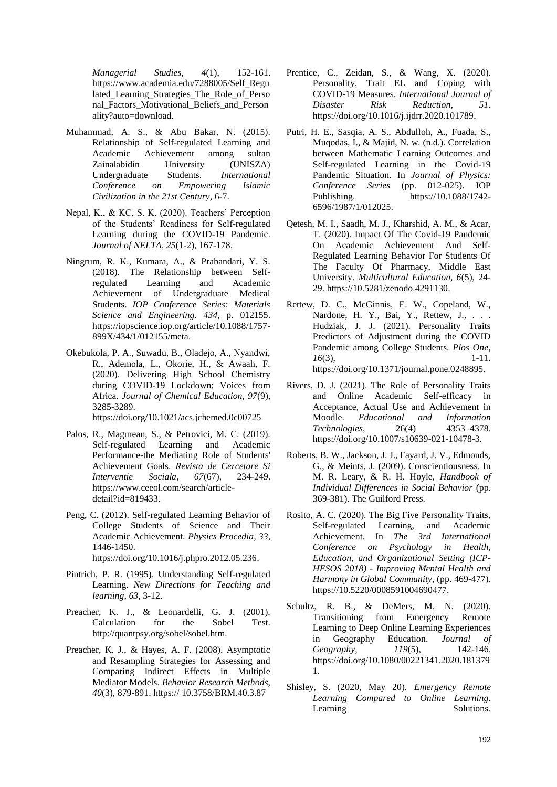*Managerial Studies, 4*(1), 152-161. [https://www.academia.edu/7288005/Self\\_Regu](https://www.academia.edu/7288005/Self_Regulated_Learning_Strategies_The_Role_of_Personal_Factors_Motivational_Beliefs_and_Personality?auto=download) [lated\\_Learning\\_Strategies\\_The\\_Role\\_of\\_Perso](https://www.academia.edu/7288005/Self_Regulated_Learning_Strategies_The_Role_of_Personal_Factors_Motivational_Beliefs_and_Personality?auto=download) [nal\\_Factors\\_Motivational\\_Beliefs\\_and\\_Person](https://www.academia.edu/7288005/Self_Regulated_Learning_Strategies_The_Role_of_Personal_Factors_Motivational_Beliefs_and_Personality?auto=download) [ality?auto=download.](https://www.academia.edu/7288005/Self_Regulated_Learning_Strategies_The_Role_of_Personal_Factors_Motivational_Beliefs_and_Personality?auto=download)

- Muhammad, A. S., & Abu Bakar, N. (2015). Relationship of Self-regulated Learning and Academic Achievement among sultan Zainalabidin University (UNISZA) Undergraduate Students. *International Conference on Empowering Islamic Civilization in the 21st Century*, 6-7.
- Nepal, K., & KC, S. K. (2020). Teachers' Perception of the Students' Readiness for Self-regulated Learning during the COVID-19 Pandemic. *Journal of NELTA, 25*(1-2), 167-178.
- Ningrum, R. K., Kumara, A., & Prabandari, Y. S. (2018). The Relationship between Selfregulated Learning and Academic Achievement of Undergraduate Medical Students. *IOP Conference Series: Materials Science and Engineering. 434*, p. 012155. [https://iopscience.iop.org/article/10.1088/1757-](https://iopscience.iop.org/article/10.1088/1757-899X/434/1/012155/meta) [899X/434/1/012155/meta.](https://iopscience.iop.org/article/10.1088/1757-899X/434/1/012155/meta)
- Okebukola, P. A., Suwadu, B., Oladejo, A., Nyandwi, R., Ademola, L., Okorie, H., & Awaah, F. (2020). Delivering High School Chemistry during COVID-19 Lockdown; Voices from Africa. *Journal of Chemical Education, 97*(9), 3285-3289. <https://doi.org/10.1021/acs.jchemed.0c00725>
- Palos, R., Magurean, S., & Petrovici, M. C. (2019). Self-regulated Learning and Academic Performance-the Mediating Role of Students' Achievement Goals. *Revista de Cercetare Si Interventie Sociala, 67*(67), 234-249. [https://www.ceeol.com/search/article](https://www.ceeol.com/search/article-detail?id=819433)[detail?id=819433.](https://www.ceeol.com/search/article-detail?id=819433)
- Peng, C. (2012). Self-regulated Learning Behavior of College Students of Science and Their Academic Achievement. *Physics Procedia, 33*, 1446-1450. [https://doi.org/10.1016/j.phpro.2012.05.236.](https://doi.org/10.1016/j.phpro.2012.05.236)
- Pintrich, P. R. (1995). Understanding Self-regulated Learning. *New Directions for Teaching and learning, 63*, 3-12.
- Preacher, K. J., & Leonardelli, G. J. (2001). Calculation for the Sobel Test. [http://quantpsy.org/sobel/sobel.htm.](http://quantpsy.org/sobel/sobel.htm)
- Preacher, K. J., & Hayes, A. F. (2008). Asymptotic and Resampling Strategies for Assessing and Comparing Indirect Effects in Multiple Mediator Models. *Behavior Research Methods, 40*(3), 879-891. https:// 10.3758/BRM.40.3.87
- Prentice, C., Zeidan, S., & Wang, X. (2020). Personality, Trait EL and Coping with COVID-19 Measures. *International Journal of Disaster Risk Reduction, 51*. [https://doi.org/10.1016/j.ijdrr.2020.101789.](https://doi.org/10.1016/j.ijdrr.2020.101789)
- Putri, H. E., Sasqia, A. S., Abdulloh, A., Fuada, S., Muqodas, I., & Majid, N. w. (n.d.). Correlation between Mathematic Learning Outcomes and Self-regulated Learning in the Covid-19 Pandemic Situation. In *Journal of Physics: Conference Series* (pp. 012-025). IOP Publishing. https://10.1088/1742- 6596/1987/1/012025.
- Qetesh, M. I., Saadh, M. J., Kharshid, A. M., & Acar, T. (2020). Impact Of The Covid-19 Pandemic On Academic Achievement And Self-Regulated Learning Behavior For Students Of The Faculty Of Pharmacy, Middle East University. *Multicultural Education, 6*(5), 24- 29. https://10.5281/zenodo.4291130.
- Rettew, D. C., McGinnis, E. W., Copeland, W., Nardone, H. Y., Bai, Y., Rettew, J., ... Hudziak, J. J. (2021). Personality Traits Predictors of Adjustment during the COVID Pandemic among College Students. *Plos One, 16*(3), 1-11. [https://doi.org/10.1371/journal.pone.0248895.](https://doi.org/10.1371/journal.pone.0248895)
- Rivers, D. J. (2021). The Role of Personality Traits and Online Academic Self-efficacy in Acceptance, Actual Use and Achievement in Moodle. *Educational and Information Technologies*, 26(4) 4353–4378. [https://doi.org/10.1007/s10639-021-10478-3.](https://doi.org/10.1007/s10639-021-10478-3)
- Roberts, B. W., Jackson, J. J., Fayard, J. V., Edmonds, G., & Meints, J. (2009). Conscientiousness. In M. R. Leary, & R. H. Hoyle, *Handbook of Individual Differences in Social Behavior* (pp. 369-381). The Guilford Press.
- Rosito, A. C. (2020). The Big Five Personality Traits, Self-regulated Learning, and Academic Achievement. In *The 3rd International Conference on Psychology in Health, Education, and Organizational Setting (ICP-HESOS 2018) - Improving Mental Health and Harmony in Global Community*, (pp. 469-477). [https://10.5220/0008591004690477.](https://10.0.20.100/0008591004690477)
- Schultz, R. B., & DeMers, M. N. (2020). Transitioning from Emergency Remote Learning to Deep Online Learning Experiences in Geography Education. *Journal of Geography, 119*(5), 142-146. [https://doi.org/10.1080/00221341.2020.181379](https://doi.org/10.1080/00221341.2020.1813791) [1.](https://doi.org/10.1080/00221341.2020.1813791)
- Shisley, S. (2020, May 20). *Emergency Remote Learning Compared to Online Learning.*  Learning Solutions.